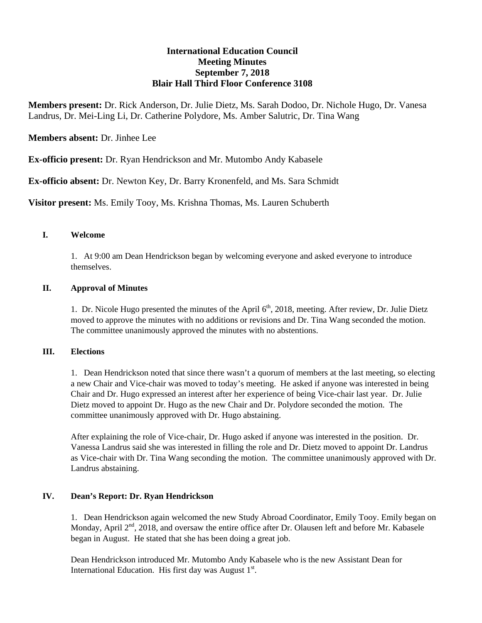# **International Education Council Meeting Minutes September 7, 2018 Blair Hall Third Floor Conference 3108**

**Members present:** Dr. Rick Anderson, Dr. Julie Dietz, Ms. Sarah Dodoo, Dr. Nichole Hugo, Dr. Vanesa Landrus, Dr. Mei-Ling Li, Dr. Catherine Polydore, Ms. Amber Salutric, Dr. Tina Wang

**Members absent:** Dr. Jinhee Lee

**Ex-officio present:** Dr. Ryan Hendrickson and Mr. Mutombo Andy Kabasele

**Ex-officio absent:** Dr. Newton Key, Dr. Barry Kronenfeld, and Ms. Sara Schmidt

**Visitor present:** Ms. Emily Tooy, Ms. Krishna Thomas, Ms. Lauren Schuberth

#### **I. Welcome**

1. At 9:00 am Dean Hendrickson began by welcoming everyone and asked everyone to introduce themselves.

### **II. Approval of Minutes**

1. Dr. Nicole Hugo presented the minutes of the April 6<sup>th</sup>, 2018, meeting. After review, Dr. Julie Dietz moved to approve the minutes with no additions or revisions and Dr. Tina Wang seconded the motion. The committee unanimously approved the minutes with no abstentions.

### **III. Elections**

1. Dean Hendrickson noted that since there wasn't a quorum of members at the last meeting, so electing a new Chair and Vice-chair was moved to today's meeting. He asked if anyone was interested in being Chair and Dr. Hugo expressed an interest after her experience of being Vice-chair last year. Dr. Julie Dietz moved to appoint Dr. Hugo as the new Chair and Dr. Polydore seconded the motion. The committee unanimously approved with Dr. Hugo abstaining.

After explaining the role of Vice-chair, Dr. Hugo asked if anyone was interested in the position. Dr. Vanessa Landrus said she was interested in filling the role and Dr. Dietz moved to appoint Dr. Landrus as Vice-chair with Dr. Tina Wang seconding the motion. The committee unanimously approved with Dr. Landrus abstaining.

### **IV. Dean's Report: Dr. Ryan Hendrickson**

1. Dean Hendrickson again welcomed the new Study Abroad Coordinator, Emily Tooy. Emily began on Monday, April 2<sup>nd</sup>, 2018, and oversaw the entire office after Dr. Olausen left and before Mr. Kabasele began in August. He stated that she has been doing a great job.

Dean Hendrickson introduced Mr. Mutombo Andy Kabasele who is the new Assistant Dean for International Education. His first day was August  $1<sup>st</sup>$ .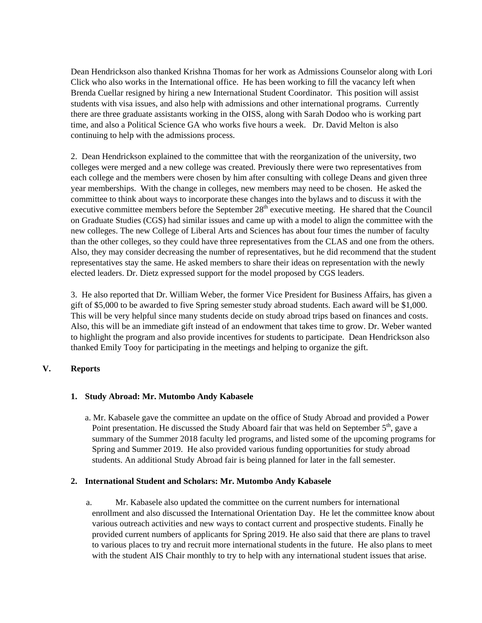Dean Hendrickson also thanked Krishna Thomas for her work as Admissions Counselor along with Lori Click who also works in the International office. He has been working to fill the vacancy left when Brenda Cuellar resigned by hiring a new International Student Coordinator. This position will assist students with visa issues, and also help with admissions and other international programs. Currently there are three graduate assistants working in the OISS, along with Sarah Dodoo who is working part time, and also a Political Science GA who works five hours a week. Dr. David Melton is also continuing to help with the admissions process.

2. Dean Hendrickson explained to the committee that with the reorganization of the university, two colleges were merged and a new college was created. Previously there were two representatives from each college and the members were chosen by him after consulting with college Deans and given three year memberships. With the change in colleges, new members may need to be chosen. He asked the committee to think about ways to incorporate these changes into the bylaws and to discuss it with the executive committee members before the September  $28<sup>th</sup>$  executive meeting. He shared that the Council on Graduate Studies (CGS) had similar issues and came up with a model to align the committee with the new colleges. The new College of Liberal Arts and Sciences has about four times the number of faculty than the other colleges, so they could have three representatives from the CLAS and one from the others. Also, they may consider decreasing the number of representatives, but he did recommend that the student representatives stay the same. He asked members to share their ideas on representation with the newly elected leaders. Dr. Dietz expressed support for the model proposed by CGS leaders.

3. He also reported that Dr. William Weber, the former Vice President for Business Affairs, has given a gift of \$5,000 to be awarded to five Spring semester study abroad students. Each award will be \$1,000. This will be very helpful since many students decide on study abroad trips based on finances and costs. Also, this will be an immediate gift instead of an endowment that takes time to grow. Dr. Weber wanted to highlight the program and also provide incentives for students to participate. Dean Hendrickson also thanked Emily Tooy for participating in the meetings and helping to organize the gift.

### **V. Reports**

### **1. Study Abroad: Mr. Mutombo Andy Kabasele**

a. Mr. Kabasele gave the committee an update on the office of Study Abroad and provided a Power Point presentation. He discussed the Study Aboard fair that was held on September 5<sup>th</sup>, gave a summary of the Summer 2018 faculty led programs, and listed some of the upcoming programs for Spring and Summer 2019. He also provided various funding opportunities for study abroad students. An additional Study Abroad fair is being planned for later in the fall semester.

### **2. International Student and Scholars: Mr. Mutombo Andy Kabasele**

a. Mr. Kabasele also updated the committee on the current numbers for international enrollment and also discussed the International Orientation Day. He let the committee know about various outreach activities and new ways to contact current and prospective students. Finally he provided current numbers of applicants for Spring 2019. He also said that there are plans to travel to various places to try and recruit more international students in the future. He also plans to meet with the student AIS Chair monthly to try to help with any international student issues that arise.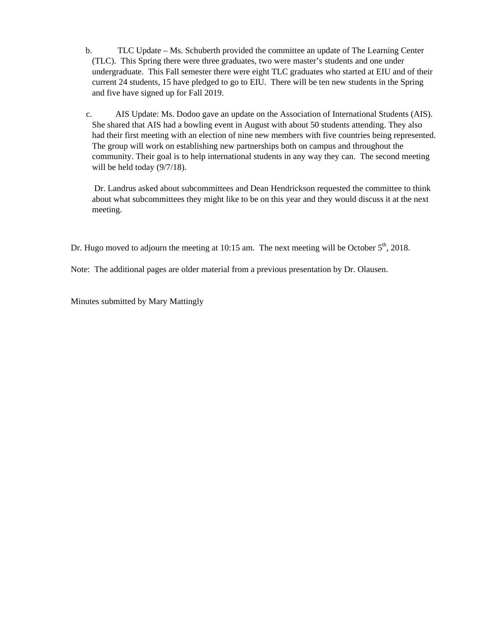- b. TLC Update Ms. Schuberth provided the committee an update of The Learning Center (TLC). This Spring there were three graduates, two were master's students and one under undergraduate. This Fall semester there were eight TLC graduates who started at EIU and of their current 24 students, 15 have pledged to go to EIU. There will be ten new students in the Spring and five have signed up for Fall 2019.
- c. AIS Update: Ms. Dodoo gave an update on the Association of International Students (AIS). She shared that AIS had a bowling event in August with about 50 students attending. They also had their first meeting with an election of nine new members with five countries being represented. The group will work on establishing new partnerships both on campus and throughout the community. Their goal is to help international students in any way they can. The second meeting will be held today (9/7/18).

 Dr. Landrus asked about subcommittees and Dean Hendrickson requested the committee to think about what subcommittees they might like to be on this year and they would discuss it at the next meeting.

Dr. Hugo moved to adjourn the meeting at 10:15 am. The next meeting will be October  $5<sup>th</sup>$ , 2018.

Note: The additional pages are older material from a previous presentation by Dr. Olausen.

Minutes submitted by Mary Mattingly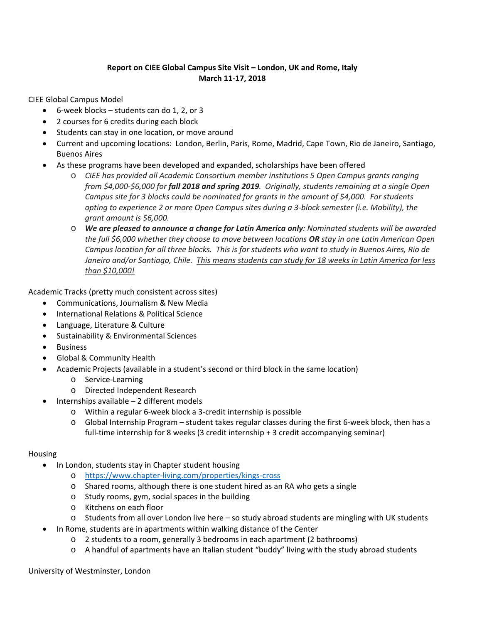# **Report on CIEE Global Campus Site Visit – London, UK and Rome, Italy March 11‐17, 2018**

CIEE Global Campus Model

- $\bullet$  6-week blocks students can do 1, 2, or 3
- 2 courses for 6 credits during each block
- Students can stay in one location, or move around
- Current and upcoming locations: London, Berlin, Paris, Rome, Madrid, Cape Town, Rio de Janeiro, Santiago, Buenos Aires
- As these programs have been developed and expanded, scholarships have been offered
	- o *CIEE has provided all Academic Consortium member institutions 5 Open Campus grants ranging* from \$4,000-\$6,000 for fall 2018 and spring 2019. Originally, students remaining at a single Open *Campus site for 3 blocks could be nominated for grants in the amount of \$4,000. For students opting to experience 2 or more Open Campus sites during a 3‐block semester (i.e. Mobility), the grant amount is \$6,000.*
	- o *We are pleased to announce a change for Latin America only: Nominated students will be awarded the full \$6,000 whether they choose to move between locations OR stay in one Latin American Open* Campus location for all three blocks. This is for students who want to study in Buenos Aires, Rio de Janeiro and/or Santiago, Chile. This means students can study for 18 weeks in Latin America for less *than \$10,000!*

Academic Tracks (pretty much consistent across sites)

- Communications, Journalism & New Media
- International Relations & Political Science
- Language, Literature & Culture
- Sustainability & Environmental Sciences
- Business
- Global & Community Health
- Academic Projects (available in a student's second or third block in the same location)
	- o Service‐Learning
	- o Directed Independent Research
	- Internships available 2 different models
		- o Within a regular 6‐week block a 3‐credit internship is possible
		- o Global Internship Program student takes regular classes during the first 6‐week block, then has a full-time internship for 8 weeks (3 credit internship + 3 credit accompanying seminar)

### Housing

- In London, students stay in Chapter student housing
	- o https://www.chapter‐living.com/properties/kings‐cross
	- o Shared rooms, although there is one student hired as an RA who gets a single
	- o Study rooms, gym, social spaces in the building
	- o Kitchens on each floor
	- $\circ$  Students from all over London live here so study abroad students are mingling with UK students
	- In Rome, students are in apartments within walking distance of the Center
		- o 2 students to a room, generally 3 bedrooms in each apartment (2 bathrooms)
		- o A handful of apartments have an Italian student "buddy" living with the study abroad students

University of Westminster, London